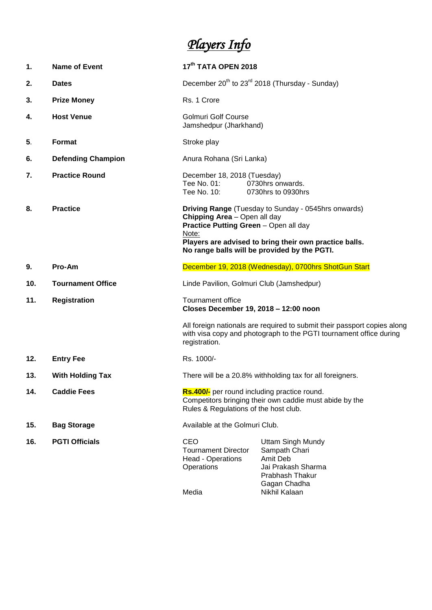## *Players Info*

| 1.  | <b>Name of Event</b>      | 17 <sup>th</sup> TATA OPEN 2018                                                                                                                                                                                                                 |                                                                                                                |
|-----|---------------------------|-------------------------------------------------------------------------------------------------------------------------------------------------------------------------------------------------------------------------------------------------|----------------------------------------------------------------------------------------------------------------|
| 2.  | <b>Dates</b>              | December $20^{th}$ to $23^{rd}$ 2018 (Thursday - Sunday)                                                                                                                                                                                        |                                                                                                                |
| 3.  | <b>Prize Money</b>        | Rs. 1 Crore                                                                                                                                                                                                                                     |                                                                                                                |
| 4.  | <b>Host Venue</b>         | <b>Golmuri Golf Course</b><br>Jamshedpur (Jharkhand)                                                                                                                                                                                            |                                                                                                                |
| 5.  | <b>Format</b>             | Stroke play                                                                                                                                                                                                                                     |                                                                                                                |
| 6.  | <b>Defending Champion</b> | Anura Rohana (Sri Lanka)                                                                                                                                                                                                                        |                                                                                                                |
| 7.  | <b>Practice Round</b>     | December 18, 2018 (Tuesday)<br>Tee No. 01:<br>Tee No. 10:                                                                                                                                                                                       | 0730hrs onwards.<br>0730hrs to 0930hrs                                                                         |
| 8.  | <b>Practice</b>           | Driving Range (Tuesday to Sunday - 0545hrs onwards)<br>Chipping Area - Open all day<br>Practice Putting Green - Open all day<br>Note:<br>Players are advised to bring their own practice balls.<br>No range balls will be provided by the PGTI. |                                                                                                                |
| 9.  | Pro-Am                    | December 19, 2018 (Wednesday), 0700hrs ShotGun Start                                                                                                                                                                                            |                                                                                                                |
| 10. | <b>Tournament Office</b>  | Linde Pavilion, Golmuri Club (Jamshedpur)                                                                                                                                                                                                       |                                                                                                                |
| 11. | <b>Registration</b>       | Tournament office<br>Closes December 19, 2018 - 12:00 noon                                                                                                                                                                                      |                                                                                                                |
|     |                           | All foreign nationals are required to submit their passport copies along<br>with visa copy and photograph to the PGTI tournament office during<br>registration.                                                                                 |                                                                                                                |
| 12. | <b>Entry Fee</b>          | Rs. 1000/-                                                                                                                                                                                                                                      |                                                                                                                |
| 13. | <b>With Holding Tax</b>   | There will be a 20.8% withholding tax for all foreigners.                                                                                                                                                                                       |                                                                                                                |
| 14. | <b>Caddie Fees</b>        | Rs.400/- per round including practice round.<br>Competitors bringing their own caddie must abide by the<br>Rules & Regulations of the host club.                                                                                                |                                                                                                                |
| 15. | <b>Bag Storage</b>        | Available at the Golmuri Club.                                                                                                                                                                                                                  |                                                                                                                |
| 16. | <b>PGTI Officials</b>     | CEO<br><b>Tournament Director</b><br>Head - Operations<br>Operations                                                                                                                                                                            | <b>Uttam Singh Mundy</b><br>Sampath Chari<br>Amit Deb<br>Jai Prakash Sharma<br>Prabhash Thakur<br>Gagan Chadha |

Media **Nikhil Kalaan**